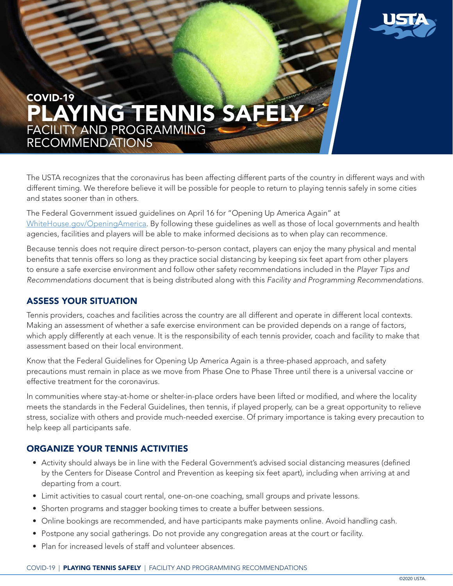

# COVID-19 PLAYING TENNIS SAFELY FACILITY AND PROGRAMMING RECOMMENDATIONS

The USTA recognizes that the coronavirus has been affecting different parts of the country in different ways and with different timing. We therefore believe it will be possible for people to return to playing tennis safely in some cities and states sooner than in others.

The Federal Government issued guidelines on April 16 for "Opening Up America Again" at [WhiteHouse.gov/OpeningAmerica.](http://WhiteHouse.gov/OpeningAmerica) By following these guidelines as well as those of local governments and health agencies, facilities and players will be able to make informed decisions as to when play can recommence.

Because tennis does not require direct person-to-person contact, players can enjoy the many physical and mental benefits that tennis offers so long as they practice social distancing by keeping six feet apart from other players to ensure a safe exercise environment and follow other safety recommendations included in the *Player Tips and Recommendations* document that is being distributed along with this *Facility and Programming Recommendations.*

## ASSESS YOUR SITUATION

Tennis providers, coaches and facilities across the country are all different and operate in different local contexts. Making an assessment of whether a safe exercise environment can be provided depends on a range of factors, which apply differently at each venue. It is the responsibility of each tennis provider, coach and facility to make that assessment based on their local environment.

Know that the Federal Guidelines for Opening Up America Again is a three-phased approach, and safety precautions must remain in place as we move from Phase One to Phase Three until there is a universal vaccine or effective treatment for the coronavirus.

In communities where stay-at-home or shelter-in-place orders have been lifted or modified, and where the locality meets the standards in the Federal Guidelines, then tennis, if played properly, can be a great opportunity to relieve stress, socialize with others and provide much-needed exercise. Of primary importance is taking every precaution to help keep all participants safe.

## ORGANIZE YOUR TENNIS ACTIVITIES

- Activity should always be in line with the Federal Government's advised social distancing measures (defined by the Centers for Disease Control and Prevention as keeping six feet apart), including when arriving at and departing from a court.
- Limit activities to casual court rental, one-on-one coaching, small groups and private lessons.
- Shorten programs and stagger booking times to create a buffer between sessions.
- Online bookings are recommended, and have participants make payments online. Avoid handling cash.
- Postpone any social gatherings. Do not provide any congregation areas at the court or facility.
- Plan for increased levels of staff and volunteer absences.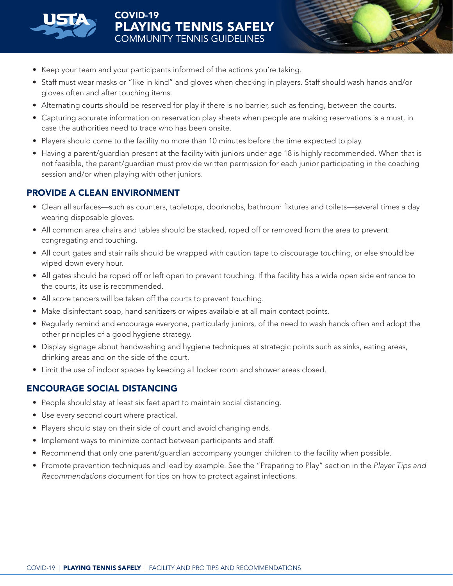

- Keep your team and your participants informed of the actions you're taking.
- Staff must wear masks or "like in kind" and gloves when checking in players. Staff should wash hands and/or gloves often and after touching items.
- Alternating courts should be reserved for play if there is no barrier, such as fencing, between the courts.
- Capturing accurate information on reservation play sheets when people are making reservations is a must, in case the authorities need to trace who has been onsite.
- Players should come to the facility no more than 10 minutes before the time expected to play.
- Having a parent/guardian present at the facility with juniors under age 18 is highly recommended. When that is not feasible, the parent/guardian must provide written permission for each junior participating in the coaching session and/or when playing with other juniors.

## PROVIDE A CLEAN ENVIRONMENT

- Clean all surfaces—such as counters, tabletops, doorknobs, bathroom fixtures and toilets—several times a day wearing disposable gloves.
- All common area chairs and tables should be stacked, roped off or removed from the area to prevent congregating and touching.
- All court gates and stair rails should be wrapped with caution tape to discourage touching, or else should be wiped down every hour.
- All gates should be roped off or left open to prevent touching. If the facility has a wide open side entrance to the courts, its use is recommended.
- All score tenders will be taken off the courts to prevent touching.
- Make disinfectant soap, hand sanitizers or wipes available at all main contact points.
- Regularly remind and encourage everyone, particularly juniors, of the need to wash hands often and adopt the other principles of a good hygiene strategy.
- Display signage about handwashing and hygiene techniques at strategic points such as sinks, eating areas, drinking areas and on the side of the court.
- Limit the use of indoor spaces by keeping all locker room and shower areas closed.

## ENCOURAGE SOCIAL DISTANCING

- People should stay at least six feet apart to maintain social distancing.
- Use every second court where practical.
- Players should stay on their side of court and avoid changing ends.
- Implement ways to minimize contact between participants and staff.
- Recommend that only one parent/guardian accompany younger children to the facility when possible.
- Promote prevention techniques and lead by example. See the "Preparing to Play" section in the *Player Tips and Recommendations* document for tips on how to protect against infections.